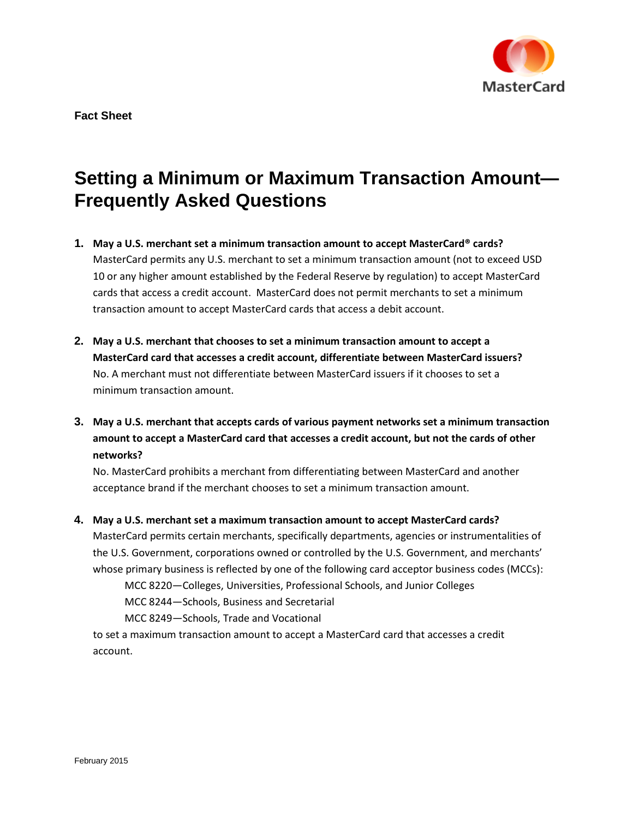

## **Setting a Minimum or Maximum Transaction Amount— Frequently Asked Questions**

- **1. May a U.S. merchant set a minimum transaction amount to accept MasterCard® cards?** MasterCard permits any U.S. merchant to set a minimum transaction amount (not to exceed USD 10 or any higher amount established by the Federal Reserve by regulation) to accept MasterCard cards that access a credit account. MasterCard does not permit merchants to set a minimum transaction amount to accept MasterCard cards that access a debit account.
- **2. May a U.S. merchant that chooses to set a minimum transaction amount to accept a MasterCard card that accesses a credit account, differentiate between MasterCard issuers?** No. A merchant must not differentiate between MasterCard issuers if it chooses to set a minimum transaction amount.
- **3. May a U.S. merchant that accepts cards of various payment networks set a minimum transaction amount to accept a MasterCard card that accesses a credit account, but not the cards of other networks?**

No. MasterCard prohibits a merchant from differentiating between MasterCard and another acceptance brand if the merchant chooses to set a minimum transaction amount.

## **4. May a U.S. merchant set a maximum transaction amount to accept MasterCard cards?**

MasterCard permits certain merchants, specifically departments, agencies or instrumentalities of the U.S. Government, corporations owned or controlled by the U.S. Government, and merchants' whose primary business is reflected by one of the following card acceptor business codes (MCCs):

MCC 8220—Colleges, Universities, Professional Schools, and Junior Colleges

MCC 8244—Schools, Business and Secretarial

MCC 8249—Schools, Trade and Vocational

to set a maximum transaction amount to accept a MasterCard card that accesses a credit account.